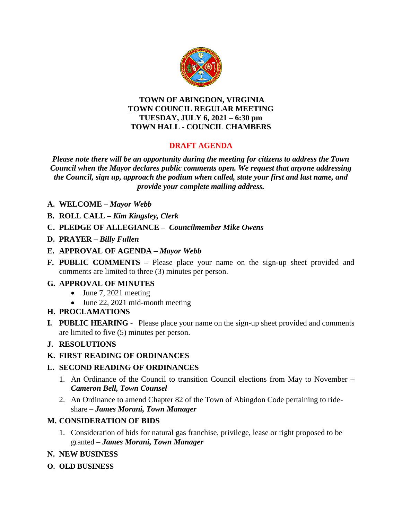

#### **TOWN OF ABINGDON, VIRGINIA TOWN COUNCIL REGULAR MEETING TUESDAY, JULY 6, 2021 – 6:30 pm TOWN HALL - COUNCIL CHAMBERS**

# **DRAFT AGENDA**

*Please note there will be an opportunity during the meeting for citizens to address the Town Council when the Mayor declares public comments open. We request that anyone addressing the Council, sign up, approach the podium when called, state your first and last name, and provide your complete mailing address.*

- **A. WELCOME –** *Mayor Webb*
- **B. ROLL CALL –** *Kim Kingsley, Clerk*
- **C. PLEDGE OF ALLEGIANCE –** *Councilmember Mike Owens*
- **D. PRAYER –** *Billy Fullen*
- **E. APPROVAL OF AGENDA –** *Mayor Webb*
- **F. PUBLIC COMMENTS –** Please place your name on the sign-up sheet provided and comments are limited to three (3) minutes per person.

#### **G. APPROVAL OF MINUTES**

- $\bullet$  June 7, 2021 meeting
- June 22, 2021 mid-month meeting
- **H. PROCLAMATIONS**
- **I***.* **PUBLIC HEARING** Please place your name on the sign-up sheet provided and comments are limited to five (5) minutes per person.

## **J. RESOLUTIONS**

## **K. FIRST READING OF ORDINANCES**

## **L. SECOND READING OF ORDINANCES**

- 1. An Ordinance of the Council to transition Council elections from May to November **–** *Cameron Bell, Town Counsel*
- 2. An Ordinance to amend Chapter 82 of the Town of Abingdon Code pertaining to rideshare – *James Morani, Town Manager*

## **M. CONSIDERATION OF BIDS**

- 1. Consideration of bids for natural gas franchise, privilege, lease or right proposed to be granted – *James Morani, Town Manager*
- **N. NEW BUSINESS**
- **O. OLD BUSINESS**